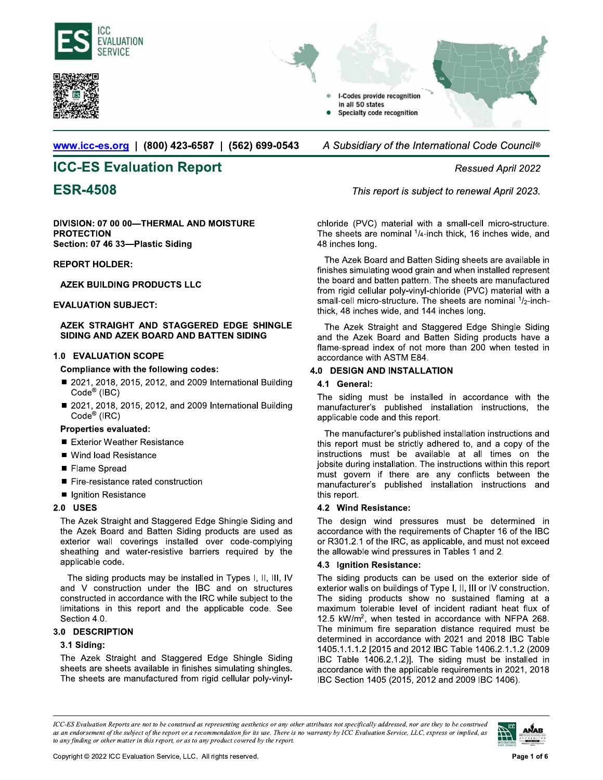





**www.icc-es.org** | (800) 423-6587 | (562) 699-0543 A Subsidiary of the International Code Council<sup>®</sup>

# **notation Report** non-text provides a set of the Ressued April 2022

DIVISION: 07 00 00-THERMAL AND MOISTURE **PROTECTION** Section: 07 46 33-Plastic Siding

# **REPORT HOLDER:**

# **AZEK BUILDING PRODUCTS LLC**

# **EVALUATION SUBJECT:**

### AZEK STRAIGHT AND STAGGERED EDGE SHINGLE SIDING AND AZEK BOARD AND BATTEN SIDING

# 1.0 EVALUATION SCOPE

# Compliance with the following codes:

- $Code<sup>®</sup>$  (IBC)
- VALUATION SUBJECT:<br>
AZEK STRAIGHT AND STAGGERED EDGE SHINGLE<br>
SIDING AND AZEK BOARD AND BATTEN SIDING<br>
0 EVALUATION SCOPE<br>
Compliance with the following codes:<br>
 2021, 2018, 2015, 2012, and 2009 International Building<br>
C AZEK STRAIGHT AND STAGGERED EDGE SHINGLE<br>
SIDING AND AZEK BOARD AND BATTEN SIDING<br>
0 EVALUATION SCOPE<br>
Compliance with the following codes:<br>
■ 2021, 2018, 2015, 2012, and 2009 International Building<br>
Code® (IBC)<br>
■ 2021,  $Code<sup>®</sup>$  (IRC) Compliance with the following codes:<br>
■ 2021, 2018, 2015, 2012, and 2009 Inte<br>
Code® (IBC)<br>
■ 2021, 2018, 2015, 2012, and 2009 Inte<br>
Code® (IRC)<br>
Properties evaluated:<br>
■ Exterior Weather Resistance<br>
■ Wind load Resistan

# Properties evaluated:

- 
- Wind load Resistance
- 
- 
- Ignition Resistance

# $2.0$  USES

■ 2021, 2010, 2013, 2012, and 20<br>
Code<sup>®</sup> (IBC)<br>
■ 2021, 2018, 2015, 2012, and 20<br>
Code<sup>®</sup> (IRC)<br> **Properties evaluated:**<br>
■ Exterior Weather Resistance<br>
■ Wind load Resistance<br>
■ Flame Spread<br>
■ Fire-resistance rated co ■ 2021, 2018, 2015, 2012, and 2009 International E<br>
Code® (IRC)<br> **Properties evaluated:**<br>
■ Exterior Weather Resistance<br>
■ Wind load Resistance<br>
■ Fire-resistance<br>
■ Fire-resistance<br>
■ Tre-resistance<br>
2.0 USES<br>
The Azek S ■ Exterior Weather Resistance<br>
■ Wind load Resistance<br>
■ Fire-resistance<br>
■ Fire-resistance rated construction<br>
■ Ignition Resistance<br>
2.0 USES<br>
The Azek Straight and Staggered Edge Shingle Siding and<br>
the Azek Board and ■ Wind load Resistance<br>
■ Fire-resistance<br>
■ Fire-resistance rated construction<br>
■ Ignition Resistance<br>
2.0 USES<br>
The Azek Straight and Staggered Edge Shingle Siding and<br>
the Azek Board and Batten Siding products are used ■ Flame Spread<br>
■ Fire-resistance rated construction<br>
■ Ignition Resistance<br>
2.0 USES<br>
The Azek Straight and Staggered Edge Shingle Siding and<br>
the Azek Board and Batten Siding products are used as<br>
exterior wall covering ■ Fiame Spread<br>
■ Fire-resistance rated construction<br>
mus<br>
2.0 USES<br>
2.2 The Azek Straight and Staggered Edge Shingle Siding and<br>
the Azek Straight and Staggered Edge Shingle Siding and<br>
the Azek Board and Batten Siding p applicable code. ■ Ignition Resistance<br>
2.0 USES<br>
The Azek Straight and Staggered Edge Shingle Siding and<br>
the Azek Board and Batten Siding products are used as<br>
exterior wall coverings installed over code-complying<br>
sheathing and water-r 2.0 USES<br>
2.0 USES<br>
2.2 Wind Re<br>
2.2 Wind Re<br>
2.2 Wind Re<br>
2.2 Wind Re<br>
2.2 Wind Reader of Manufold Devices are used as<br>
2.2 Conditions in the substitute of the allowable doe.<br>
2.3 conditions applicable code.<br>
2.3 conditi The Azek Straight and Staggered Edge Shingle Siding and<br>the Azek Board and Batten Siding products are used as<br>exterior wall coverings installed over code-complying<br>sheathing and water-resistive barriers required by the<br>app

the Azek Board and Batten Siding products are used as<br>texterior wall coverings installed over code-complying<br>sheathing and water-resistive barriers required by the<br>applicable code.<br>The siding products may be installed in T Section 4.0. The siding products may be installed in Types 1, 11, 111, 1V<br>and V construction under the IBC and on structures<br>constructed in accordance with the IRC while subject to the<br>limitations in this report and the applicable cod and  $V$  construction under the IBC and on structures<br>constructed in accordance with the IRC while subject to the<br>limitations in this report and the applicable code. See<br>Section 4.0.<br>**3.0 DESCRIPTION**<br>**3.1 Siding:**<br>The Az constructed in accordance with the IRC while subject to the<br>
limitations in this report and the applicable code. See maxi<br>
Section 4.0. 12.5<br>
3.0 **DESCRIPTION** The<br>
3.1 **Siding:** <sup>1405</sup><br>
3.1 **Siding:** <sup>1406</sup><br>
3.1 **Siding:** 

# 3.0 DESCRIPTION

# 3.1 Siding:

**Pagal 2023 ESR-4508** *Pagal 2023. Phis report is subject to renewal April 2023.* 

48 inches long.

8\*3\$'(>7®ª#¢2+7'(23§(+\*2=¢233£8733¢(8'\$£=+'48+4'7; **Example 12** This method is subject to renewal April 2022<br>
This report is subject to renewal April 2023.<br>
chloride (PVC) material with a small-cell micro-structure.<br>
The sheets are nominal 1/4-inch thick, 16 inches wide, a This report is subject to renewal April 2023.<br>
chloride (PVC) material with a small-cell micro-structure.<br>
The sheets are nominal  $1/4$ -inch thick, 16 inches wide, and<br>
48 inches long.<br>
The Azek Board and Batten Siding sh This report is subject to renewal April 2023.<br>
chloride (PVC) material with a small-cell micro-structure.<br>
The sheets are nominal  $1/4$ -inch thick, 16 inches wide, and<br>
48 inches long.<br>
The Azek Board and Batten Siding sh chloride (PVC) material with a small-cell micro-structure.<br>The sheets are nominal  $1/4$ -inch thick, 16 inches wide, and<br>48 inches long.<br>The Azek Board and Batten Siding sheets are available in<br>finishes simulating wood gra TURE<br>
TURE chloride (PVC) material with a small-cell micro-structure.<br>
The sheets are nominal  $1/4$ -inch thick, 16 inches wide, and<br>
48 inches long.<br>
The Azek Board and Batten Siding sheets are available in<br>
finishes simu chloride (PVC) material with a small-cell micro-structure.<br>The sheets are nominal 1/4-inch thick, 16 inches wide, and<br>48 inches long.<br>The Azek Board and Batten Siding sheets are available in<br>finishes simulating wood grain thick, 48 inches wide, and 144 inches long. 48 inches long.<br>
The Azek Board and Batten Siding sheets are available in<br>
finishes simulating wood grain and when installed represent<br>
the board and batten pattern. The sheets are manufactured<br>
from rigid cellular poly-vi The Azek Board and Batten Siding sheets are available in<br>finishes simulating wood grain and when installed represent<br>the board and batten pattern. The sheets are manufactured<br>from rigid cellular poly-vinyl-chloride (PVC) Finishes simulating wood grain and when installed represent<br>the board and batten pattern. The sheets are manufactured<br>from rigid cellular poly-vinyl-chloride (PVC) material with a<br>small-cell micro-structure. The sheets are From rigid cellular poly-vinyl-child the board and batten pattern. Time from rigid cellular poly-vinyl-child small-cell micro-structure. The thick, 48 inches wide, and 144 in SHINGLE<br>The Azek Straight and Stage and the Aze

# 4.0 DESIGN AND INSTALLATION

# 4.1 General:

The Azek Straight and Staggered Edge Shingle Siding<br>and the Azek Board and Batten Siding products have a<br>flame-spread index of not more than 200 when tested in<br>accordance with ASTM E84.<br>**0 DESIGN AND INSTALLATION**<br>**4.1 G** The Azek Straight and Staggered Edge Shingle Siding<br>
and the Azek Board and Batten Siding products have a<br>
flame-spread index of not more than 200 when tested in<br>
accordance with ASTM E84.<br>
4.0 DESIGN AND INSTALLATION<br>
ill and the Azek Board and Batten Siding products<br>flame-spread index of not more than 200 when te<br>accordance with ASTM E84.<br>**0** DESIGN AND INSTALLATION<br>4.1 General:<br>The siding must be installed in accordance w<br>manufacturer's p Exercise intervals and the STM E84.<br>
accordance with ASTM E84.<br>
4.0 DESIGN AND INSTALLATION<br>
4.1 General:<br>
The siding must be installed in accordance with the<br>
manufacturer's published installation instructions, the<br>
appli 4.0 DESIGN AND INSTALLATION<br>
at Building<br>
4.1 General:<br>
The siding must be installed in accordance with the<br>
mal Building<br>
manufacturer's published installation instructions, the<br>
applicable code and this report.<br>
The manu 4.0 **DESIGN AND INSTALLATION**<br>
a.1 **General:**<br>
The siding must be installed in accordance with the<br>
manufacturer's published installation instructions, the<br>
applicable code and this report.<br>
The manufacturer's published in **4.1 General:**<br>
The siding must be installed in accordance with the<br>
uniding<br>
manufacturer's published installation instructions, the<br>
applicable code and this report.<br>
The manufacturer's published installation instruction The siding must be installed in accordance with the<br>manufacturer's published installation instructions, the<br>applicable code and this report.<br>The manufacturer's published installation instructions and<br>this report must be st manufacturer's published installation instructions, the<br>applicable code and this report.<br>The manufacturer's published installation instructions, the<br>applicable code and this report.<br>The manufacturer's published installatio Framewolden to pushing the applicable code and this report.<br>
The manufacturer's published<br>
this report must be strictly add<br>
instructions must be availal<br>
jobsite during installation. The i<br>
must govern if there are a<br>
man <sup>112</sup> this report must be strictly adhered to, and a copy of the<br>instructions must be available at all times on the<br>jobsite during installation. The instructions within this report<br>must govern if there are any conflicts be instructions must be available at all times on the<br>instructions must be available at all times on the<br>jobsite during installation. The instructions within this report<br>must govern if there are any conflicts between the<br>manu

# 4.2 Wind Resistance:

# 4.3 Ignition Resistance:

biobstie during installation. The instructions within this report<br>
must govern if there are any conflicts between the<br>
manufacturer's published installation instructions and<br>
this report.<br>
4.2 Wind Resistance:<br>
The design the starting measurem. The measurement must govern if there are any conflicts between manufacturer's published installation instruction this report.<br>
4.2 Wind Resistance:<br>
The design wind pressures must be determ accordan this report.<br>
4.2 Wind Resistance:<br>
and The design wind pressures must be determined in<br>
accordance with the requirements of Chapter 16 of the IBC<br>
or R301.2.1 of the IRC, as applicable, and must not exceed<br>
the allowable **4.2 Wind Resistance:**<br> **4.2 Wind Resistance:**<br>
The design wind pressures must be determined in<br>
accordance with the requirements of Chapter 16 of the IBC<br>
e-complying or R301.2.1 of the IRC, as applicable, and must not e The design wind pressures must be determined in<br>accordance with the requirements of Chapter 16 of the IBC<br>or R301.2.1 of the IRC, as applicable, and must not exceed<br>the allowable wind pressures in Tables 1 and 2.<br>4.3 **Igni** From the requirements of Chapter 16 of the IBC<br>or R301.2.1 of the IRC, as applicable, and must not exceed<br>the allowable wind pressures in Tables 1 and 2.<br>4.3 **Ignition Resistance:**<br>The siding products can be used on the ex are two weaks the responsable, and must not exceed<br>the allowable wind pressures in Tables 1 and 2.<br>4.3 Ignition Resistance:<br>The siding products can be used on the exterior side of<br>exterior walls on buildings of Type I, II, are allowable wind pressures in Tables 1 and 2.<br> **4.3 Ignition Resistance:**<br>
The allowable wind pressures in Tables 1 and 2.<br> **4.3 Ignition Resistance:**<br>
The siding products can be used on the exterior side of<br>
exterior w 328 37 and an exterior Resistance: and and the exterior side of<br>8.1, III, III, IV<br>1. The siding products can be used on the exterior side of<br>1. structures exterior walls on buildings of Type I, II, III or IV construction. 1405.1.1.1.2 [2015 and 2012 IBC Table 1406.2.1.1.2 (2009 IBC Table 1406.2.1.2)]. The siding must be installed in accordance with the applicable requirements in 2021, 2018 structures exterior walls on buildings of Type I, II, III or IV construction.<br>
abject to the The siding products show no sustained flaming at a<br>
code. See maximum tolerable level of incident radiant heat flux of<br>
12.5 kW/ IBC Section 1405 (2015, 2012 and 2009 IBC 1406).

ICC-ES Evaluation Reports are not to be construed as representing aesthetics or any other attributes not specifically addressed, nor are they to be construed as an endorsement of the subject of the report or a recommendation for its use. There is no warranty by ICC Evaluation Service, LLC, express or implied, as to any finding or other matter in this report, or as to any product covered by the report. ECC-ES Evaluation Reports are not to be construed as representing aesthetics or any other attributes not specifically addressed, nor are they to be construed<br>as an endorsement of the subject of the report or a recommendat

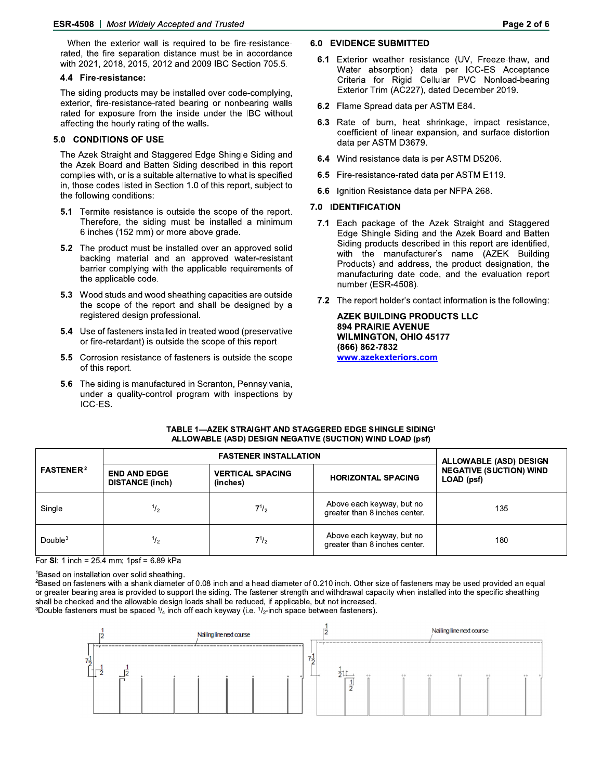When the exterior wall is required to be fire-resistancerated, the fire separation distance must be in accordance with 2021, 2018, 2015, 2012 and 2009 IBC Section 705.5.

#### 4.4 Fire-resistance:

The siding products may be installed over code-complying, exterior, fire-resistance-rated bearing or nonbearing walls rated for exposure from the inside under the IBC without affecting the hourly rating of the walls.

#### 5.0 CONDITIONS OF USE

The Azek Straight and Staggered Edge Shingle Siding and the Azek Board and Batten Siding described in this report complies with, or is a suitable alternative to what is specified in, those codes listed in Section 1.0 of this report, subject to the following conditions:

- 5.1 Termite resistance is outside the scope of the report. Therefore, the siding must be installed a minimum 6 inches (152 mm) or more above grade.
- 5.2 The product must be installed over an approved solid backing material and an approved water-resistant barrier complying with the applicable requirements of the applicable code.
- 5.3 Wood studs and wood sheathing capacities are outside the scope of the report and shall be designed by a registered design professional.
- 5.4 Use of fasteners installed in treated wood (preservative or fire-retardant) is outside the scope of this report.
- 5.5 Corrosion resistance of fasteners is outside the scope of this report.
- 5.6 The siding is manufactured in Scranton, Pennsylvania, under a quality-control program with inspections by ICC-ES.

### **6.0 EVIDENCE SUBMITTED**

- 6.1 Exterior weather resistance (UV, Freeze-thaw, and Water absorption) data per ICC-ES Acceptance Criteria for Rigid Cellular PVC Nonload-bearing Exterior Trim (AC227), dated December 2019.
- 6.2 Flame Spread data per ASTM E84.
- 6.3 Rate of burn, heat shrinkage, impact resistance, coefficient of linear expansion, and surface distortion data per ASTM D3679.
- 6.4 Wind resistance data is per ASTM D5206.
- 6.5 Fire-resistance-rated data per ASTM E119.
- 6.6 Ignition Resistance data per NFPA 268.

#### 7.0 IDENTIFICATION

- 7.1 Each package of the Azek Straight and Staggered Edge Shingle Siding and the Azek Board and Batten Siding products described in this report are identified, with the manufacturer's name (AZEK Building Products) and address, the product designation, the manufacturing date code, and the evaluation report number (ESR-4508).
- 7.2 The report holder's contact information is the following:

**AZEK BUILDING PRODUCTS LLC 894 PRAIRIE AVENUE WILMINGTON, OHIO 45177** (866) 862-7832 www.azekexteriors.com

| <b>FASTENER<sup>2</sup></b> |                                               | <b>ALLOWABLE (ASD) DESIGN</b>       |                                                            |                                              |
|-----------------------------|-----------------------------------------------|-------------------------------------|------------------------------------------------------------|----------------------------------------------|
|                             | <b>END AND EDGE</b><br><b>DISTANCE (inch)</b> | <b>VERTICAL SPACING</b><br>(inches) | <b>HORIZONTAL SPACING</b>                                  | <b>NEGATIVE (SUCTION) WIND</b><br>LOAD (psf) |
| Single                      | $^{1/2}$                                      | $7^{1/2}$                           | Above each keyway, but no<br>greater than 8 inches center. | 135                                          |
| Double $3$                  | $^{1/2}$                                      | $7^{1/2}$                           | Above each keyway, but no<br>greater than 8 inches center. | 180                                          |

#### TABLE 1-AZEK STRAIGHT AND STAGGERED EDGE SHINGLE SIDING<sup>1</sup> ALLOWABLE (ASD) DESIGN NEGATIVE (SUCTION) WIND LOAD (psf)

For SI: 1 inch =  $25.4$  mm; 1psf =  $6.89$  kPa

<sup>1</sup>Based on installation over solid sheathing.

<sup>2</sup>Based on fasteners with a shank diameter of 0.08 inch and a head diameter of 0.210 inch. Other size of fasteners may be used provided an equal or greater bearing area is provided to support the siding. The fastener strength and withdrawal capacity when installed into the specific sheathing shall be checked and the allowable design loads shall be reduced, if applicable, but not increased. <sup>3</sup>Double fasteners must be spaced  $\frac{1}{4}$  inch off each keyway (i.e.  $\frac{1}{2}$ -inch space between fasteners)

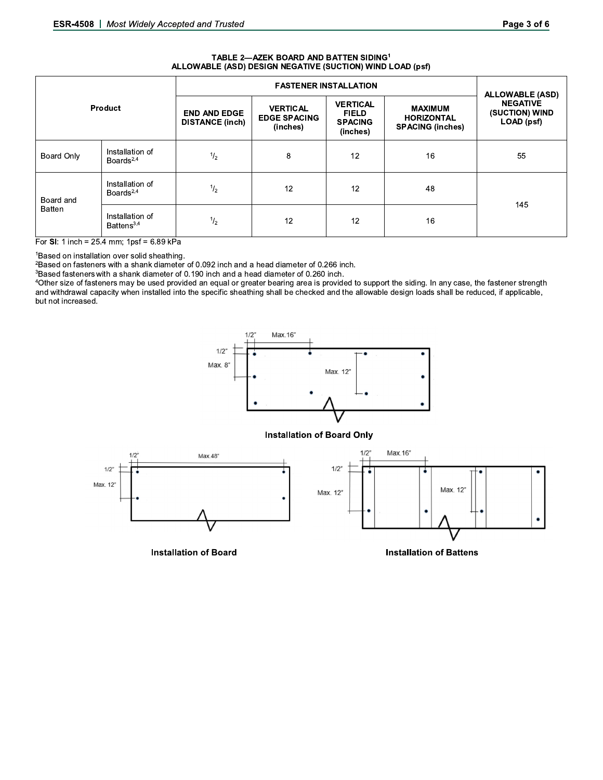#### TABLE 2-AZEK BOARD AND BATTEN SIDING<sup>1</sup> ALLOWABLE (ASD) DESIGN NEGATIVE (SUCTION) WIND LOAD (psf)

| Product             |                                    | <b>FASTENER INSTALLATION</b>                  |                                                    |                                                               |                                                                | <b>ALLOWABLE (ASD)</b>                          |
|---------------------|------------------------------------|-----------------------------------------------|----------------------------------------------------|---------------------------------------------------------------|----------------------------------------------------------------|-------------------------------------------------|
|                     |                                    | <b>END AND EDGE</b><br><b>DISTANCE (inch)</b> | <b>VERTICAL</b><br><b>EDGE SPACING</b><br>(inches) | <b>VERTICAL</b><br><b>FIELD</b><br><b>SPACING</b><br>(inches) | <b>MAXIMUM</b><br><b>HORIZONTAL</b><br><b>SPACING (inches)</b> | <b>NEGATIVE</b><br>(SUCTION) WIND<br>LOAD (psf) |
| Board Only          | Installation of<br>Boards $^{2,4}$ | $\frac{1}{2}$                                 | 8                                                  | 12                                                            | 16                                                             | 55                                              |
| Board and<br>Batten | Installation of<br>Boards $^{2,4}$ | $\frac{1}{2}$                                 | 12                                                 | 12                                                            | 48                                                             | 145                                             |
|                     | Installation of<br>Battens $3,4$   | $^{1}/_{2}$                                   | 12                                                 | 12                                                            | 16                                                             |                                                 |

For SI: 1 inch =  $25.4$  mm; 1psf =  $6.89$  kPa

<sup>1</sup>Based on installation over solid sheathing.

<sup>2</sup>Based on fasteners with a shank diameter of 0.092 inch and a head diameter of 0.266 inch.

<sup>3</sup>Based fasteners with a shank diameter of 0.190 inch and a head diameter of 0.260 inch.

<sup>4</sup>Other size of fasteners may be used provided an equal or greater bearing area is provided to support the siding. In any case, the fastener strength and withdrawal capacity when installed into the specific sheathing shall be checked and the allowable design loads shall be reduced, if applicable, but not increased.



#### **Installation of Board Only**



**Installation of Board** 

**Installation of Battens**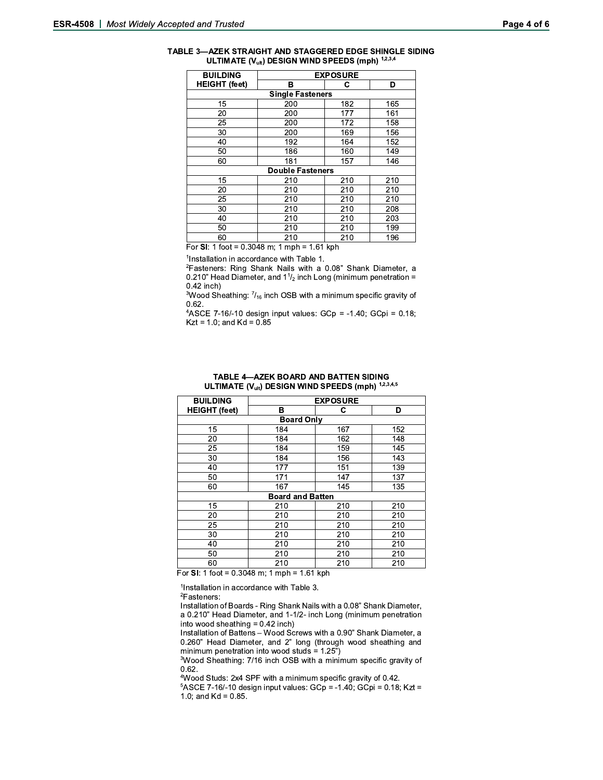| TABLE 3-AZEK STRAIGHT AND STAGGERED EDGE SHINGLE SIDING |
|---------------------------------------------------------|
| ULTIMATE $(V_{ult})$ DESIGN WIND SPEEDS (mph) $1,2,3,4$ |

| <b>BUILDING</b>         | <b>EXPOSURE</b> |     |     |  |  |  |
|-------------------------|-----------------|-----|-----|--|--|--|
| <b>HEIGHT (feet)</b>    | в               | С   | D   |  |  |  |
| <b>Single Fasteners</b> |                 |     |     |  |  |  |
| 15                      | 200             | 182 | 165 |  |  |  |
| 20                      | 200             | 177 | 161 |  |  |  |
| 25                      | 200             | 172 | 158 |  |  |  |
| 30                      | 200             | 169 | 156 |  |  |  |
| 40                      | 192             | 164 | 152 |  |  |  |
| 50                      | 186             | 160 | 149 |  |  |  |
| 60                      | 181             | 157 | 146 |  |  |  |
| <b>Double Fasteners</b> |                 |     |     |  |  |  |
| 15                      | 210             | 210 | 210 |  |  |  |
| 20                      | 210             | 210 | 210 |  |  |  |
| 25                      | 210             | 210 | 210 |  |  |  |
| 30                      | 210             | 210 | 208 |  |  |  |
| 40                      | 210             | 210 | 203 |  |  |  |
| 50                      | 210             | 210 | 199 |  |  |  |
| 60                      | 210             | 210 | 196 |  |  |  |

For SI: 1 foot =  $0.3048$  m; 1 mph = 1.61 kph

<sup>1</sup>Installation in accordance with Table 1.

<sup>2</sup>Fasteners: Ring Shank Nails with a 0.08" Shank Diameter, a 0.210" Head Diameter, and  $1\frac{1}{2}$  inch Long (minimum penetration =  $0.42$  inch)

<sup>3</sup>Wood Sheathing: 7/<sub>16</sub> inch OSB with a minimum specific gravity of  $0.62.$ 

<sup>4</sup>ASCE 7-16/-10 design input values: GCp = -1.40; GCpi = 0.18;  $Kzt = 1.0$ ; and  $Kd = 0.85$ 

|  | TABLE 4—AZEK BOARD AND BATTEN SIDING                      |  |
|--|-----------------------------------------------------------|--|
|  | ULTIMATE $(V_{ult})$ DESIGN WIND SPEEDS (mph) $1,2,3,4,5$ |  |

| <b>BUILDING</b>                                               | <b>EXPOSURE</b> |          |     |  |  |  |
|---------------------------------------------------------------|-----------------|----------|-----|--|--|--|
| <b>HEIGHT (feet)</b>                                          | в               | C        | D   |  |  |  |
| <b>Board Only</b>                                             |                 |          |     |  |  |  |
| 15                                                            | 184             | 167      | 152 |  |  |  |
| 20                                                            | 184             | 162      | 148 |  |  |  |
| 25                                                            | 184             | 159      | 145 |  |  |  |
| 30                                                            | 184             | 156      | 143 |  |  |  |
| 40                                                            | 177             | 151      | 139 |  |  |  |
| 50                                                            | 171             | 147      | 137 |  |  |  |
| 60                                                            | 167             | 145      | 135 |  |  |  |
| <b>Board and Batten</b>                                       |                 |          |     |  |  |  |
| 15                                                            | 210             | 210      | 210 |  |  |  |
| 20                                                            | 210             | 210      | 210 |  |  |  |
| 25                                                            | 210             | 210      | 210 |  |  |  |
| 30                                                            | 210             | 210      | 210 |  |  |  |
| 40                                                            | 210             | 210      | 210 |  |  |  |
| 50                                                            | 210             | 210      | 210 |  |  |  |
| 60<br>0.0010<br>$\overline{\phantom{0}}$<br>--<br>.<br>$\sim$ | 210<br>. .      | 210<br>. | 210 |  |  |  |

For SI: 1 foot =  $0.3048$  m; 1 mph = 1.61 kph

<sup>1</sup>Installation in accordance with Table 3.

 $2$ Fasteners:

Installation of Boards - Ring Shank Nails with a 0.08" Shank Diameter, a 0.210" Head Diameter, and 1-1/2- inch Long (minimum penetration into wood sheathing = 0.42 inch)

Installation of Battens - Wood Screws with a 0.90" Shank Diameter, a 0.260" Head Diameter, and 2" long (through wood sheathing and minimum penetration into wood studs =  $1.25$ ")

<sup>3</sup>Wood Sheathing: 7/16 inch OSB with a minimum specific gravity of  $0.62.$ 

<sup>4</sup>Wood Studs: 2x4 SPF with a minimum specific gravity of 0.42.

 $5ASCE$  7-16/-10 design input values:  $GCp = -1.40$ ;  $GCpi = 0.18$ ; Kzt = 1.0; and  $Kd = 0.85$ .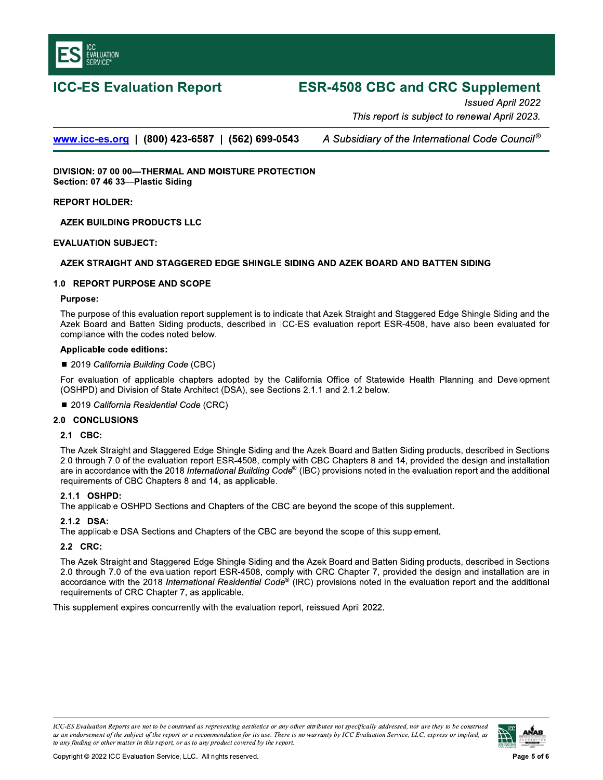

# **ICC-ES Evaluation Report**

# **ESR-4508 CBC and CRC Supplement**

Issued April 2022 This report is subject to renewal April 2023.

www.icc-es.org | (800) 423-6587 | (562) 699-0543

A Subsidiary of the International Code Council®

DIVISION: 07 00 00-THERMAL AND MOISTURE PROTECTION Section: 07 46 33-Plastic Siding

#### **REPORT HOLDER:**

**AZEK BUILDING PRODUCTS LLC** 

#### **EVALUATION SUBJECT:**

### AZEK STRAIGHT AND STAGGERED EDGE SHINGLE SIDING AND AZEK BOARD AND BATTEN SIDING

#### 1.0 REPORT PURPOSE AND SCOPE

#### **Purpose:**

The purpose of this evaluation report supplement is to indicate that Azek Straight and Staggered Edge Shingle Siding and the Azek Board and Batten Siding products, described in ICC-ES evaluation report ESR-4508, have also been evaluated for compliance with the codes noted below.

#### **Applicable code editions:**

#### ■ 2019 California Building Code (CBC)

For evaluation of applicable chapters adopted by the California Office of Statewide Health Planning and Development (OSHPD) and Division of State Architect (DSA), see Sections 2.1.1 and 2.1.2 below.

■ 2019 California Residential Code (CRC)

#### 2.0 CONCLUSIONS

#### 2.1 CBC:

The Azek Straight and Staggered Edge Shingle Siding and the Azek Board and Batten Siding products, described in Sections 2.0 through 7.0 of the evaluation report ESR-4508, comply with CBC Chapters 8 and 14, provided the design and installation are in accordance with the 2018 International Building Code® (IBC) provisions noted in the evaluation report and the additional requirements of CBC Chapters 8 and 14, as applicable.

#### 2.1.1 OSHPD:

The applicable OSHPD Sections and Chapters of the CBC are beyond the scope of this supplement.

#### 2.1.2 DSA:

The applicable DSA Sections and Chapters of the CBC are beyond the scope of this supplement.

# 2.2 CRC:

The Azek Straight and Staggered Edge Shingle Siding and the Azek Board and Batten Siding products, described in Sections 2.0 through 7.0 of the evaluation report ESR-4508, comply with CRC Chapter 7, provided the design and installation are in accordance with the 2018 International Residential Code® (IRC) provisions noted in the evaluation report and the additional requirements of CRC Chapter 7, as applicable.

This supplement expires concurrently with the evaluation report, reissued April 2022.